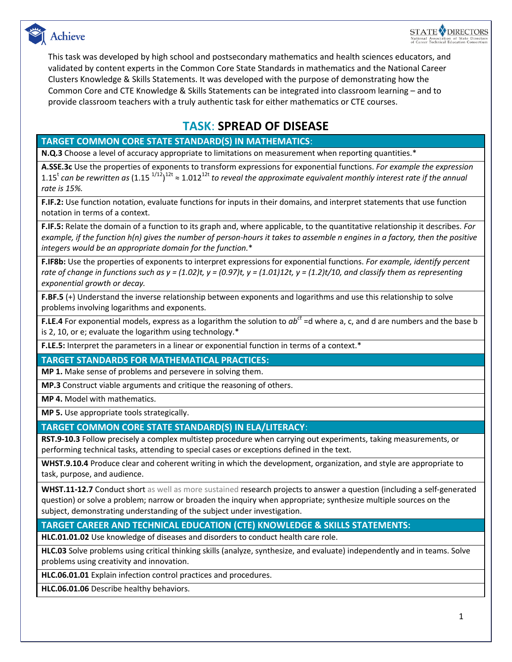



This task was developed by high school and postsecondary mathematics and health sciences educators, and validated by content experts in the Common Core State Standards in mathematics and the National Career Clusters Knowledge & Skills Statements. It was developed with the purpose of demonstrating how the Common Core and CTE Knowledge & Skills Statements can be integrated into classroom learning – and to provide classroom teachers with a truly authentic task for either mathematics or CTE courses.

## **TASK**: **SPREAD OF DISEASE**

### **TARGET COMMON CORE STATE STANDARD(S) IN MATHEMATICS**:

**N.Q.3** Choose a level of accuracy appropriate to limitations on measurement when reporting quantities.\*

**A.SSE.3c** Use the properties of exponents to transform expressions for exponential functions. *For example the expression*  1.15<sup>t</sup> can be rewritten as (1.15  $^{1/12}$ )<sup>12t</sup> ≈ 1.012<sup>12t</sup> to reveal the approximate equivalent monthly interest rate if the annual *rate is 15%.*

**F.IF.2:** Use function notation, evaluate functions for inputs in their domains, and interpret statements that use function notation in terms of a context.

**F.IF.5:** Relate the domain of a function to its graph and, where applicable, to the quantitative relationship it describes. *For example, if the function h(n) gives the number of person-hours it takes to assemble n engines in a factory, then the positive integers would be an appropriate domain for the function.*\*

**F.IF8b:** Use the properties of exponents to interpret expressions for exponential functions. *For example, identify percent*  rate of change in functions such as  $y = (1.02)t$ ,  $y = (0.97)t$ ,  $y = (1.01)12t$ ,  $y = (1.2)t/10$ , and classify them as representing *exponential growth or decay.* 

**F.BF.5** (+) Understand the inverse relationship between exponents and logarithms and use this relationship to solve problems involving logarithms and exponents.

**F.LE.4** For exponential models, express as a logarithm the solution to *abct* =d where a, c, and d are numbers and the base b is 2, 10, or e; evaluate the logarithm using technology.\*

**F.LE.5:** Interpret the parameters in a linear or exponential function in terms of a context.\*

**TARGET STANDARDS FOR MATHEMATICAL PRACTICES:**

**MP 1.** Make sense of problems and persevere in solving them.

**MP.3** Construct viable arguments and critique the reasoning of others.

**MP 4.** Model with mathematics.

**MP 5.** Use appropriate tools strategically.

### **TARGET COMMON CORE STATE STANDARD(S) IN ELA/LITERACY**:

**RST.9-10.3** Follow precisely a complex multistep procedure when carrying out experiments, taking measurements, or performing technical tasks, attending to special cases or exceptions defined in the text.

**WHST.9.10.4** Produce clear and coherent writing in which the development, organization, and style are appropriate to task, purpose, and audience.

**WHST.11-12.7** Conduct short as well as more sustained research projects to answer a question (including a self-generated question) or solve a problem; narrow or broaden the inquiry when appropriate; synthesize multiple sources on the subject, demonstrating understanding of the subject under investigation.

### **TARGET CAREER AND TECHNICAL EDUCATION (CTE) KNOWLEDGE & SKILLS STATEMENTS:**

**HLC.01.01.02** Use knowledge of diseases and disorders to conduct health care role.

**HLC.03** Solve problems using critical thinking skills (analyze, synthesize, and evaluate) independently and in teams. Solve problems using creativity and innovation.

**HLC.06.01.01** Explain infection control practices and procedures.

**HLC.06.01.06** Describe healthy behaviors.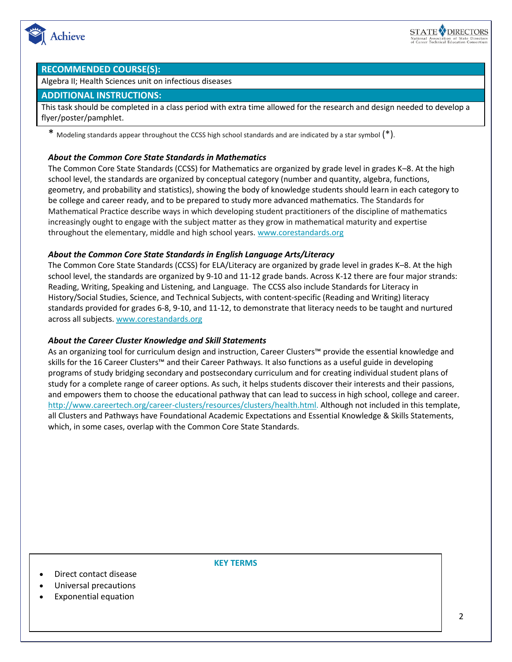

#### **RECOMMENDED COURSE(S):**

Algebra II; Health Sciences unit on infectious diseases

#### **ADDITIONAL INSTRUCTIONS:**

This task should be completed in a class period with extra time allowed for the research and design needed to develop a flyer/poster/pamphlet.

\* Modeling standards appear throughout the CCSS high school standards and are indicated by a star symbol (\*).

#### *About the Common Core State Standards in Mathematics*

The Common Core State Standards (CCSS) for Mathematics are organized by grade level in grades K–8. At the high school level, the standards are organized by conceptual category (number and quantity, algebra, functions, geometry, and probability and statistics), showing the body of knowledge students should learn in each category to be college and career ready, and to be prepared to study more advanced mathematics. The Standards for Mathematical Practice describe ways in which developing student practitioners of the discipline of mathematics increasingly ought to engage with the subject matter as they grow in mathematical maturity and expertise throughout the elementary, middle and high school years. [www.corestandards.org](http://www.corestandards.org/)

### *About the Common Core State Standards in English Language Arts/Literacy*

The Common Core State Standards (CCSS) for ELA/Literacy are organized by grade level in grades K–8. At the high school level, the standards are organized by 9-10 and 11-12 grade bands. Across K-12 there are four major strands: Reading, Writing, Speaking and Listening, and Language. The CCSS also include Standards for Literacy in History/Social Studies, Science, and Technical Subjects, with content-specific (Reading and Writing) literacy standards provided for grades 6-8, 9-10, and 11-12, to demonstrate that literacy needs to be taught and nurtured across all subjects. [www.corestandards.org](http://www.corestandards.org/)

### *About the Career Cluster Knowledge and Skill Statements*

As an organizing tool for curriculum design and instruction, Career Clusters™ provide the essential knowledge and skills for the 16 Career Clusters™ and their Career Pathways. It also functions as a useful guide in developing programs of study bridging secondary and postsecondary curriculum and for creating individual student plans of study for a complete range of career options. As such, it helps students discover their interests and their passions, and empowers them to choose the educational pathway that can lead to success in high school, college and career. [http://www.careertech.org/career-clusters/resources/clusters/health.html.](http://www.careertech.org/career-clusters/resources/clusters/health.html) Although not included in this template, all Clusters and Pathways have Foundational Academic Expectations and Essential Knowledge & Skills Statements, which, in some cases, overlap with the Common Core State Standards.

Direct contact disease

- Universal precautions
- Exponential equation

**KEY TERMS**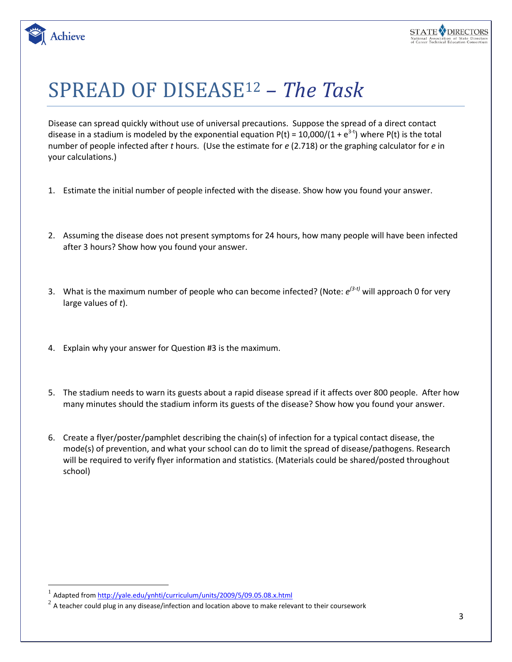

# SPREAD OF DISEASE<sup>12</sup> *– The Task*

Disease can spread quickly without use of universal precautions. Suppose the spread of a direct contact disease in a stadium is modeled by the exponential equation P(t) = 10,000/(1 + e<sup>3-t</sup>) where P(t) is the total number of people infected after *t* hours. (Use the estimate for *e* (2.718) or the graphing calculator for *e* in your calculations.)

- 1. Estimate the initial number of people infected with the disease. Show how you found your answer.
- 2. Assuming the disease does not present symptoms for 24 hours, how many people will have been infected after 3 hours? Show how you found your answer.
- 3. What is the maximum number of people who can become infected? (Note:  $e^{(3-t)}$  will approach 0 for very large values of *t*).
- 4. Explain why your answer for Question #3 is the maximum.
- 5. The stadium needs to warn its guests about a rapid disease spread if it affects over 800 people. After how many minutes should the stadium inform its guests of the disease? Show how you found your answer.
- 6. Create a flyer/poster/pamphlet describing the chain(s) of infection for a typical contact disease, the mode(s) of prevention, and what your school can do to limit the spread of disease/pathogens. Research will be required to verify flyer information and statistics. (Materials could be shared/posted throughout school)

 $\overline{a}$ 

**Achieve** 

<sup>&</sup>lt;sup>1</sup> Adapted from<http://yale.edu/ynhti/curriculum/units/2009/5/09.05.08.x.html>

 $^{2}$  A teacher could plug in any disease/infection and location above to make relevant to their coursework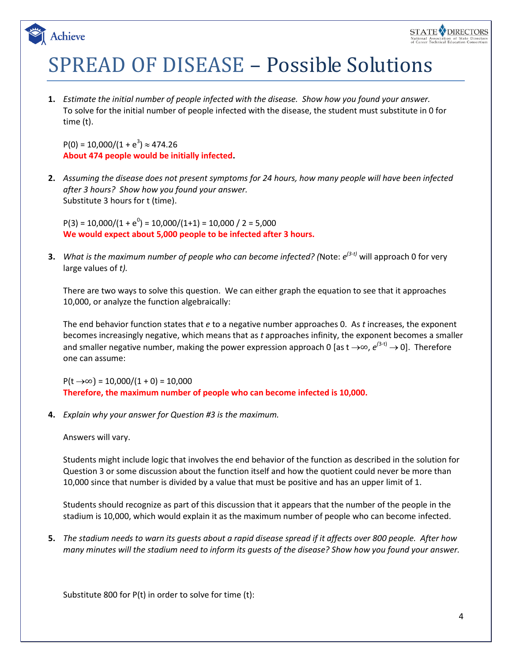# SPREAD OF DISEASE – Possible Solutions

**1.** *Estimate the initial number of people infected with the disease. Show how you found your answer.* To solve for the initial number of people infected with the disease, the student must substitute in 0 for time (t).

 $P(0) = 10,000/(1 + e^3) \approx 474.26$ **About 474 people would be initially infected.**

Achieve

**2.** *Assuming the disease does not present symptoms for 24 hours, how many people will have been infected after 3 hours? Show how you found your answer.* Substitute 3 hours for t (time).

 $P(3) = 10,000/(1 + e^0) = 10,000/(1+1) = 10,000 / 2 = 5,000$ **We would expect about 5,000 people to be infected after 3 hours.**

**3.** *What is the maximum number of people who can become infected? (*Note: *e (3-t)* will approach 0 for very large values of *t).*

There are two ways to solve this question. We can either graph the equation to see that it approaches 10,000, or analyze the function algebraically:

The end behavior function states that *e* to a negative number approaches 0. As *t* increases, the exponent becomes increasingly negative, which means that as *t* approaches infinity, the exponent becomes a smaller and smaller negative number, making the power expression approach 0 [as t →∞,  $e^{(3-t)} \rightarrow 0$ ]. Therefore one can assume:

 $P(t \rightarrow \infty) = 10,000/(1 + 0) = 10,000$ **Therefore, the maximum number of people who can become infected is 10,000.**

**4.** *Explain why your answer for Question #3 is the maximum.*

Answers will vary.

Students might include logic that involves the end behavior of the function as described in the solution for Question 3 or some discussion about the function itself and how the quotient could never be more than 10,000 since that number is divided by a value that must be positive and has an upper limit of 1.

Students should recognize as part of this discussion that it appears that the number of the people in the stadium is 10,000, which would explain it as the maximum number of people who can become infected.

**5.** *The stadium needs to warn its guests about a rapid disease spread if it affects over 800 people. After how many minutes will the stadium need to inform its guests of the disease? Show how you found your answer.*

Substitute 800 for P(t) in order to solve for time (t):

STATE ODIRECTORS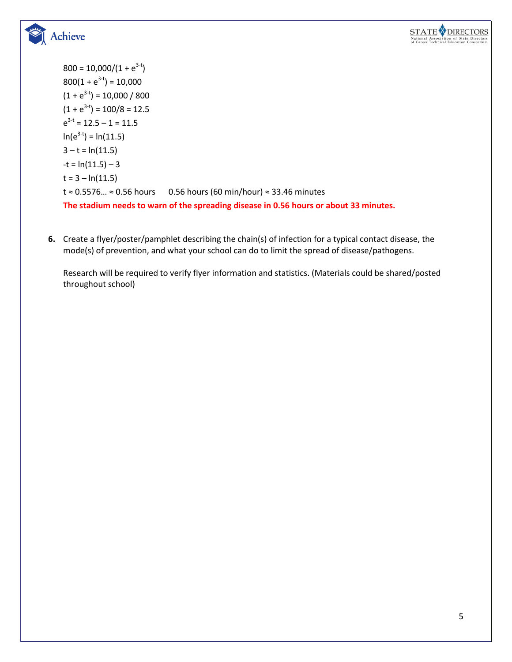



 $800 = 10,000/(1 + e^{3-t})$  $800(1 + e^{3-t}) = 10,000$  $(1 + e^{3-t}) = 10,000 / 800$  $(1 + e^{3-t}) = 100/8 = 12.5$  $e^{3-t}$  = 12.5 – 1 = 11.5  $ln(e^{3-t}) = ln(11.5)$  $3 - t = ln(11.5)$  $-t = ln(11.5) - 3$  $t = 3 - ln(11.5)$ t ≈ 0.5576… ≈ 0.56 hours 0.56 hours (60 min/hour) ≈ 33.46 minutes **The stadium needs to warn of the spreading disease in 0.56 hours or about 33 minutes.**

**6.** Create a flyer/poster/pamphlet describing the chain(s) of infection for a typical contact disease, the mode(s) of prevention, and what your school can do to limit the spread of disease/pathogens.

Research will be required to verify flyer information and statistics. (Materials could be shared/posted throughout school)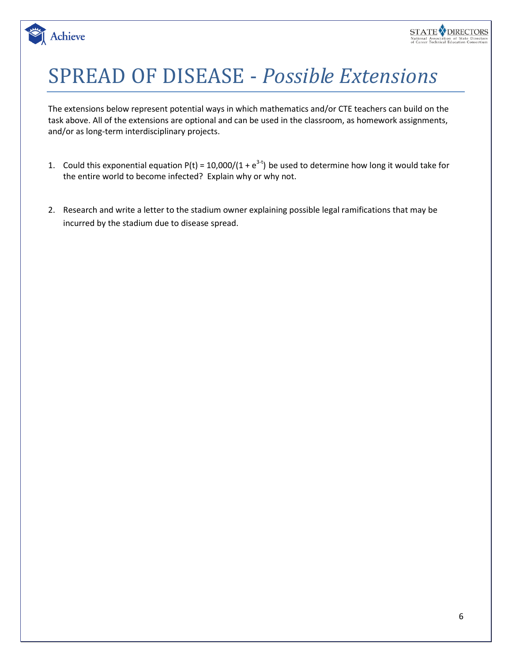

# SPREAD OF DISEASE - *Possible Extensions*

Achieve

The extensions below represent potential ways in which mathematics and/or CTE teachers can build on the task above. All of the extensions are optional and can be used in the classroom, as homework assignments, and/or as long-term interdisciplinary projects.

- 1. Could this exponential equation  $P(t) = 10,000/(1 + e^{3-t})$  be used to determine how long it would take for the entire world to become infected? Explain why or why not.
- 2. Research and write a letter to the stadium owner explaining possible legal ramifications that may be incurred by the stadium due to disease spread.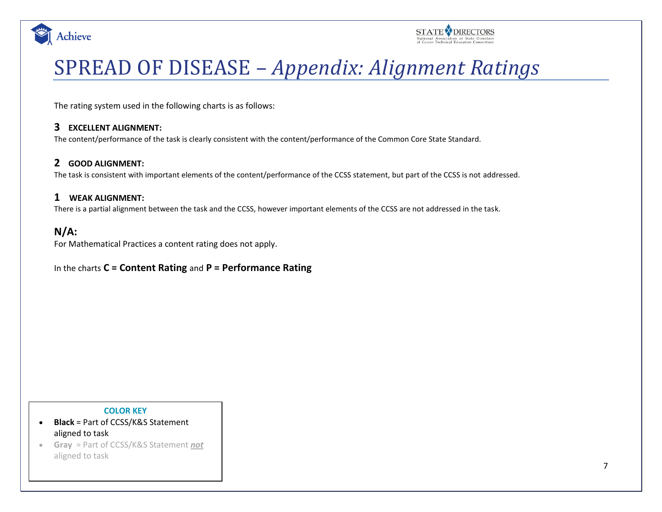



# SPREAD OF DISEASE – *Appendix: Alignment Ratings*

The rating system used in the following charts is as follows:

### **3 EXCELLENT ALIGNMENT:**

The content/performance of the task is clearly consistent with the content/performance of the Common Core State Standard.

## **2 GOOD ALIGNMENT:**

The task is consistent with important elements of the content/performance of the CCSS statement, but part of the CCSS is not addressed.

### **1 WEAK ALIGNMENT:**

There is a partial alignment between the task and the CCSS, however important elements of the CCSS are not addressed in the task.

## **N/A:**

For Mathematical Practices a content rating does not apply.

### In the charts **C = Content Rating** and **P = Performance Rating**

#### **COLOR KEY**

- **Black** = Part of CCSS/K&S Statement aligned to task
- **Gray** = Part of CCSS/K&S Statement *not* aligned to task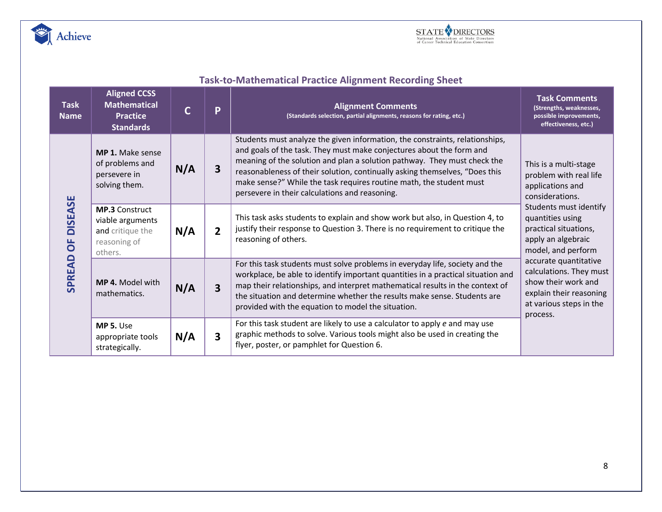



| <b>Task-to-Mathematical Practice Alignment Recording Sheet</b> |  |  |  |  |
|----------------------------------------------------------------|--|--|--|--|
|----------------------------------------------------------------|--|--|--|--|

| <b>Task</b><br><b>Name</b>            | <b>Aligned CCSS</b><br><b>Mathematical</b><br><b>Practice</b><br><b>Standards</b>        | C   | P                       | <b>Alignment Comments</b><br>(Standards selection, partial alignments, reasons for rating, etc.)                                                                                                                                                                                                                                                                                                                                         | <b>Task Comments</b><br>(Strengths, weaknesses,<br>possible improvements,<br>effectiveness, etc.)                                         |  |  |
|---------------------------------------|------------------------------------------------------------------------------------------|-----|-------------------------|------------------------------------------------------------------------------------------------------------------------------------------------------------------------------------------------------------------------------------------------------------------------------------------------------------------------------------------------------------------------------------------------------------------------------------------|-------------------------------------------------------------------------------------------------------------------------------------------|--|--|
| <b>DISEASE</b><br>bF<br><b>SPREAD</b> | <b>MP 1.</b> Make sense<br>of problems and<br>persevere in<br>solving them.              | N/A | 3                       | Students must analyze the given information, the constraints, relationships,<br>and goals of the task. They must make conjectures about the form and<br>meaning of the solution and plan a solution pathway. They must check the<br>reasonableness of their solution, continually asking themselves, "Does this<br>make sense?" While the task requires routine math, the student must<br>persevere in their calculations and reasoning. | This is a multi-stage<br>problem with real life<br>applications and<br>considerations.                                                    |  |  |
|                                       | <b>MP.3 Construct</b><br>viable arguments<br>and critique the<br>reasoning of<br>others. | N/A | $\overline{2}$          | Students must identify<br>This task asks students to explain and show work but also, in Question 4, to<br>quantities using<br>justify their response to Question 3. There is no requirement to critique the<br>practical situations,<br>reasoning of others.<br>apply an algebraic<br>model, and perform                                                                                                                                 |                                                                                                                                           |  |  |
|                                       | MP 4. Model with<br>mathematics.                                                         | N/A | 3                       | For this task students must solve problems in everyday life, society and the<br>workplace, be able to identify important quantities in a practical situation and<br>map their relationships, and interpret mathematical results in the context of<br>the situation and determine whether the results make sense. Students are<br>provided with the equation to model the situation.                                                      | accurate quantitative<br>calculations. They must<br>show their work and<br>explain their reasoning<br>at various steps in the<br>process. |  |  |
|                                       | MP 5. Use<br>appropriate tools<br>strategically.                                         | N/A | $\overline{\mathbf{3}}$ | For this task student are likely to use a calculator to apply e and may use<br>graphic methods to solve. Various tools might also be used in creating the<br>flyer, poster, or pamphlet for Question 6.                                                                                                                                                                                                                                  |                                                                                                                                           |  |  |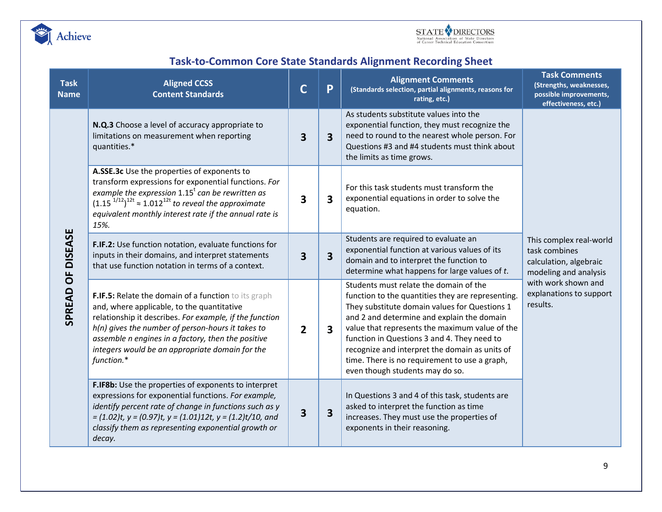



# **Task-to-Common Core State Standards Alignment Recording Sheet**

| <b>Task</b><br><b>Name</b> | <b>Aligned CCSS</b><br><b>Content Standards</b>                                                                                                                                                                                                                                                                                                                                                                                                                                                                                                                                                                                                                                                                                                                                                                                                                                                                                                                                                                                                                                                                              |   | P                       | <b>Alignment Comments</b><br>(Standards selection, partial alignments, reasons for<br>rating, etc.)                                                                                                                                                                                                                                                                                                                               | <b>Task Comments</b><br>(Strengths, weaknesses,<br>possible improvements,<br>effectiveness, etc.)                                                         |
|----------------------------|------------------------------------------------------------------------------------------------------------------------------------------------------------------------------------------------------------------------------------------------------------------------------------------------------------------------------------------------------------------------------------------------------------------------------------------------------------------------------------------------------------------------------------------------------------------------------------------------------------------------------------------------------------------------------------------------------------------------------------------------------------------------------------------------------------------------------------------------------------------------------------------------------------------------------------------------------------------------------------------------------------------------------------------------------------------------------------------------------------------------------|---|-------------------------|-----------------------------------------------------------------------------------------------------------------------------------------------------------------------------------------------------------------------------------------------------------------------------------------------------------------------------------------------------------------------------------------------------------------------------------|-----------------------------------------------------------------------------------------------------------------------------------------------------------|
| OF DISEASE<br>SPREAD       | N.Q.3 Choose a level of accuracy appropriate to<br>limitations on measurement when reporting<br>quantities.*                                                                                                                                                                                                                                                                                                                                                                                                                                                                                                                                                                                                                                                                                                                                                                                                                                                                                                                                                                                                                 | 3 | 3                       | As students substitute values into the<br>exponential function, they must recognize the<br>need to round to the nearest whole person. For<br>Questions #3 and #4 students must think about<br>the limits as time grows.                                                                                                                                                                                                           |                                                                                                                                                           |
|                            | A.SSE.3c Use the properties of exponents to<br>transform expressions for exponential functions. For<br>example the expression $1.15t$ can be rewritten as<br>$(1.15^{1/12})^{12t} \approx 1.012^{12t}$ to reveal the approximate<br>equivalent monthly interest rate if the annual rate is<br>15%.<br>F.IF.2: Use function notation, evaluate functions for<br>inputs in their domains, and interpret statements<br>that use function notation in terms of a context.<br>F.IF.5: Relate the domain of a function to its graph<br>and, where applicable, to the quantitative<br>relationship it describes. For example, if the function<br>h(n) gives the number of person-hours it takes to<br>assemble n engines in a factory, then the positive<br>integers would be an appropriate domain for the<br>function.*<br>F.IF8b: Use the properties of exponents to interpret<br>expressions for exponential functions. For example,<br>identify percent rate of change in functions such as y<br>$= (1.02)t$ , y = (0.97)t, y = (1.01)12t, y = (1.2)t/10, and<br>classify them as representing exponential growth or<br>decay. |   | 3                       | For this task students must transform the<br>exponential equations in order to solve the<br>equation.                                                                                                                                                                                                                                                                                                                             | This complex real-world<br>task combines<br>calculation, algebraic<br>modeling and analysis<br>with work shown and<br>explanations to support<br>results. |
|                            |                                                                                                                                                                                                                                                                                                                                                                                                                                                                                                                                                                                                                                                                                                                                                                                                                                                                                                                                                                                                                                                                                                                              |   | 3                       | Students are required to evaluate an<br>exponential function at various values of its<br>domain and to interpret the function to<br>determine what happens for large values of t.                                                                                                                                                                                                                                                 |                                                                                                                                                           |
|                            |                                                                                                                                                                                                                                                                                                                                                                                                                                                                                                                                                                                                                                                                                                                                                                                                                                                                                                                                                                                                                                                                                                                              |   | 3                       | Students must relate the domain of the<br>function to the quantities they are representing.<br>They substitute domain values for Questions 1<br>and 2 and determine and explain the domain<br>value that represents the maximum value of the<br>function in Questions 3 and 4. They need to<br>recognize and interpret the domain as units of<br>time. There is no requirement to use a graph,<br>even though students may do so. |                                                                                                                                                           |
|                            |                                                                                                                                                                                                                                                                                                                                                                                                                                                                                                                                                                                                                                                                                                                                                                                                                                                                                                                                                                                                                                                                                                                              |   | $\overline{\mathbf{3}}$ | In Questions 3 and 4 of this task, students are<br>asked to interpret the function as time<br>increases. They must use the properties of<br>exponents in their reasoning.                                                                                                                                                                                                                                                         |                                                                                                                                                           |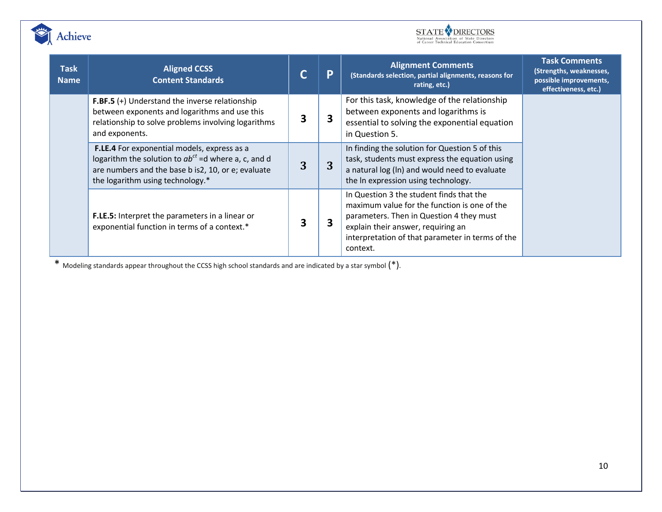



| <b>Task</b><br><b>Name</b> | <b>Aligned CCSS</b><br><b>Content Standards</b>                                                                                                                                                                                                                                                                                                                                                         |   | P | <b>Alignment Comments</b><br>(Standards selection, partial alignments, reasons for<br>rating, etc.)                                                                                                                                        | <b>Task Comments</b><br>(Strengths, weaknesses,<br>possible improvements,<br>effectiveness, etc.) |
|----------------------------|---------------------------------------------------------------------------------------------------------------------------------------------------------------------------------------------------------------------------------------------------------------------------------------------------------------------------------------------------------------------------------------------------------|---|---|--------------------------------------------------------------------------------------------------------------------------------------------------------------------------------------------------------------------------------------------|---------------------------------------------------------------------------------------------------|
|                            | <b>F.BF.5</b> $(+)$ Understand the inverse relationship<br>between exponents and logarithms and use this<br>relationship to solve problems involving logarithms<br>and exponents.                                                                                                                                                                                                                       | 3 | 3 | For this task, knowledge of the relationship<br>between exponents and logarithms is<br>essential to solving the exponential equation<br>in Question 5.                                                                                     |                                                                                                   |
|                            | In finding the solution for Question 5 of this<br>F.LE.4 For exponential models, express as a<br>logarithm the solution to $ab^{ct}$ =d where a, c, and d<br>task, students must express the equation using<br>3<br>3<br>are numbers and the base b is2, 10, or e; evaluate<br>a natural log (In) and would need to evaluate<br>the logarithm using technology.*<br>the In expression using technology. |   |   |                                                                                                                                                                                                                                            |                                                                                                   |
|                            | F.LE.5: Interpret the parameters in a linear or<br>exponential function in terms of a context.*                                                                                                                                                                                                                                                                                                         | 3 | 3 | In Question 3 the student finds that the<br>maximum value for the function is one of the<br>parameters. Then in Question 4 they must<br>explain their answer, requiring an<br>interpretation of that parameter in terms of the<br>context. |                                                                                                   |

\* Modeling standards appear throughout the CCSS high school standards and are indicated by a star symbol (\*).